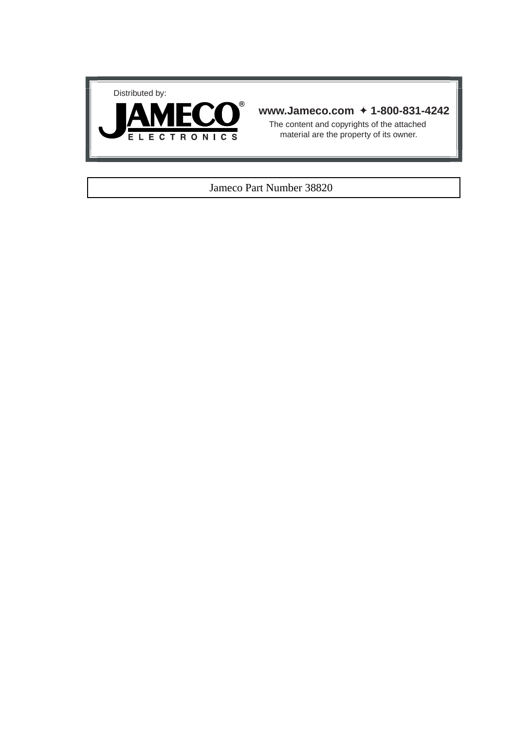



#### **www.Jameco.com** ✦ **1-800-831-4242**

The content and copyrights of the attached material are the property of its owner.

#### Jameco Part Number 38820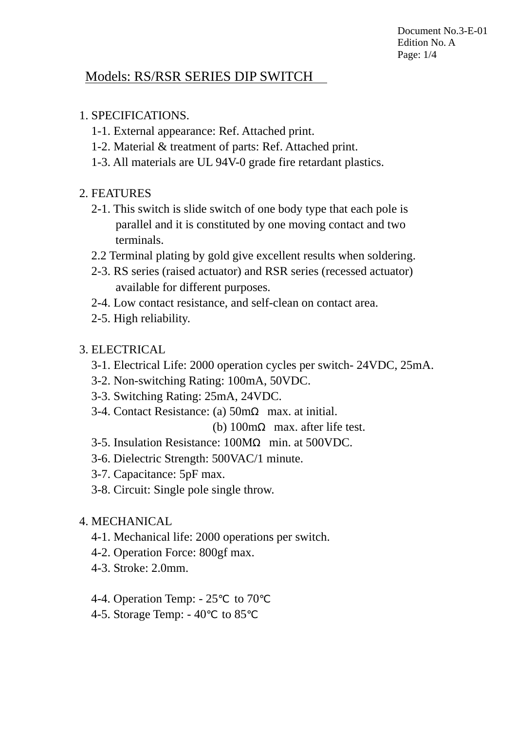Document No.3-E-01 Edition No. A Page: 1/4

# Models: RS/RSR SERIES DIP SWITCH

# 1. SPECIFICATIONS.

- 1-1. External appearance: Ref. Attached print.
- 1-2. Material & treatment of parts: Ref. Attached print.
- 1-3. All materials are UL 94V-0 grade fire retardant plastics.

# 2. FEATURES

- 2-1. This switch is slide switch of one body type that each pole is parallel and it is constituted by one moving contact and two terminals.
- 2.2 Terminal plating by gold give excellent results when soldering.
- 2-3. RS series (raised actuator) and RSR series (recessed actuator) available for different purposes.
- 2-4. Low contact resistance, and self-clean on contact area.
- 2-5. High reliability.

# 3. ELECTRICAL

- 3-1. Electrical Life: 2000 operation cycles per switch- 24VDC, 25mA.
- 3-2. Non-switching Rating: 100mA, 50VDC.
- 3-3. Switching Rating: 25mA, 24VDC.
- 3-4. Contact Resistance: (a) 50m max. at initial.

(b) 100m max. after life test.

- 3-5. Insulation Resistance: 100M min. at 500VDC.
- 3-6. Dielectric Strength: 500VAC/1 minute.
- 3-7. Capacitance: 5pF max.
- 3-8. Circuit: Single pole single throw.
- 4. MECHANICAL
	- 4-1. Mechanical life: 2000 operations per switch.
	- 4-2. Operation Force: 800gf max.
	- 4-3. Stroke: 2.0mm.
	- 4-4. Operation Temp:  $-25$  to 70
	- 4-5. Storage Temp:  $-40$  to 85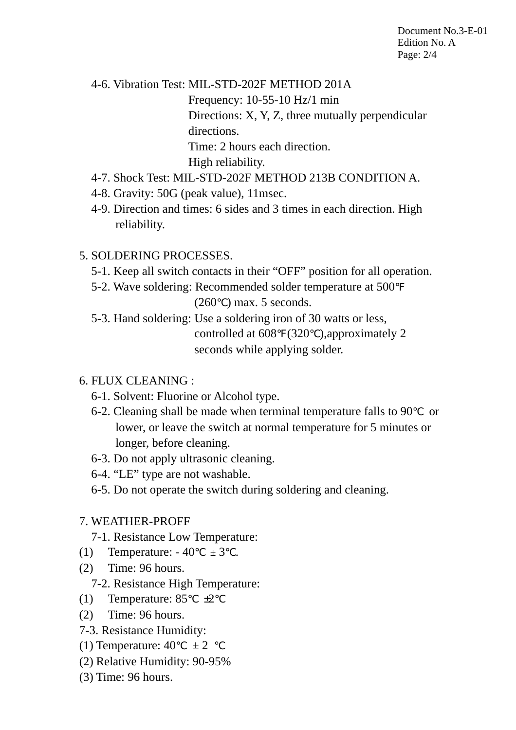Document No.3-E-01 Edition No. A Page: 2/4

 4-6. Vibration Test: MIL-STD-202F METHOD 201A Frequency: 10-55-10 Hz/1 min Directions: X, Y, Z, three mutually perpendicular directions. Time: 2 hours each direction. High reliability.

- 4-7. Shock Test: MIL-STD-202F METHOD 213B CONDITION A.
- 4-8. Gravity: 50G (peak value), 11msec.
- 4-9. Direction and times: 6 sides and 3 times in each direction. High reliability.

# 5. SOLDERING PROCESSES.

- 5-1. Keep all switch contacts in their "OFF" position for all operation.
- 5-2. Wave soldering: Recommended solder temperature at 500  $(260)$  max. 5 seconds.
- 5-3. Hand soldering: Use a soldering iron of 30 watts or less, controlled at 608 (320 ),approximately 2 seconds while applying solder.

#### 6. FLUX CLEANING :

- 6-1. Solvent: Fluorine or Alcohol type.
- 6-2. Cleaning shall be made when terminal temperature falls to 90 or lower, or leave the switch at normal temperature for 5 minutes or longer, before cleaning.
- 6-3. Do not apply ultrasonic cleaning.
- 6-4. "LE" type are not washable.
- 6-5. Do not operate the switch during soldering and cleaning.

#### 7. WEATHER-PROFF

- 7-1. Resistance Low Temperature:
- (1) Temperature:  $-40 \pm 3$ .
- (2) Time: 96 hours.

#### 7-2. Resistance High Temperature:

- (1) Temperature:  $85 \pm 2$
- (2) Time: 96 hours.
- 7-3. Resistance Humidity:
- (1) Temperature:  $40 \pm 2$
- (2) Relative Humidity: 90-95%
- (3) Time: 96 hours.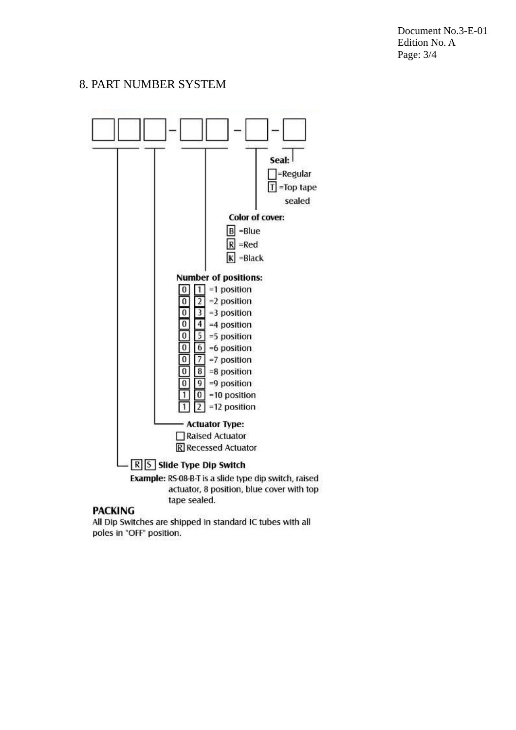Document No.3-E-01 Edition No. A Page: 3/4

#### 8. PART NUMBER SYSTEM



#### **PACKING**

All Dip Switches are shipped in standard IC tubes with all poles in "OFF" position.